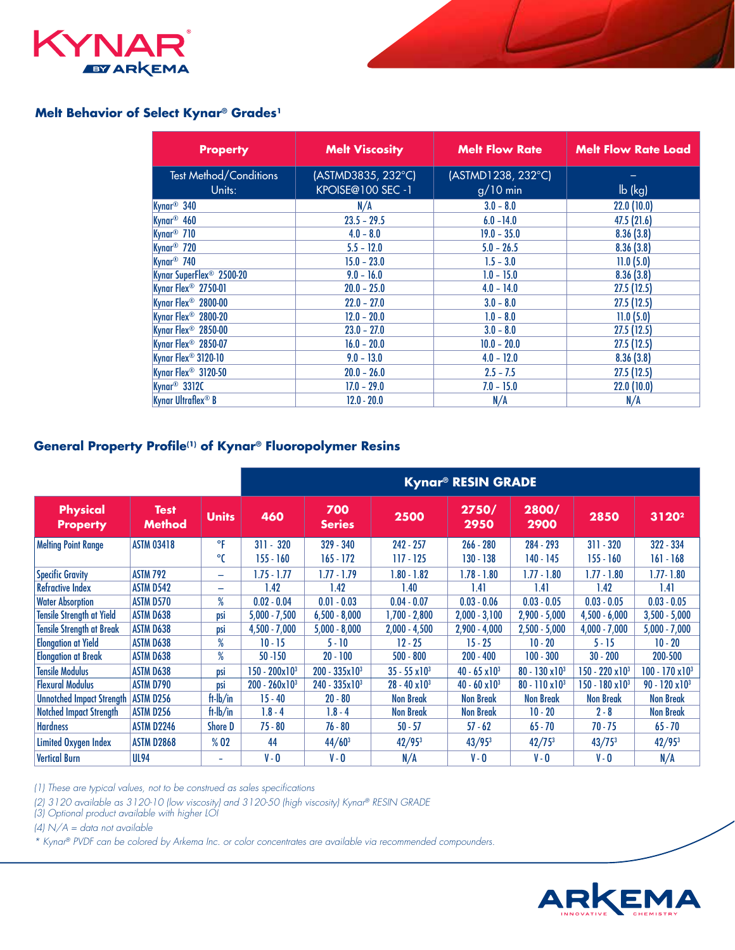

## **Melt Behavior of Select Kynar® Grades1**

| <b>Property</b>                         | <b>Melt Viscosity</b>                  | <b>Melt Flow Rate</b>            | <b>Melt Flow Rate Load</b> |  |  |
|-----------------------------------------|----------------------------------------|----------------------------------|----------------------------|--|--|
| <b>Test Method/Conditions</b><br>Units: | (ASTMD3835, 232°C)<br>KPOISE@100 SEC-1 | (ASTMD1238, 232°C)<br>$g/10$ min | $\mathsf{lb}$ (kg)         |  |  |
| Kynar <sup>®</sup> 340                  | N/A                                    | $3.0 - 8.0$                      | 22.0(10.0)                 |  |  |
| Kynar <sup>®</sup> 460                  | $23.5 - 29.5$                          | $6.0 - 14.0$                     | 47.5(21.6)                 |  |  |
| Kynar <sup>®</sup> 710                  | $4.0 - 8.0$                            | $19.0 - 35.0$                    | 8.36(3.8)                  |  |  |
| Kynar <sup>®</sup> 720                  | $5.5 - 12.0$                           | $5.0 - 26.5$                     | 8.36(3.8)                  |  |  |
| Kynar <sup>®</sup> 740                  | $15.0 - 23.0$                          | $1.5 - 3.0$                      | 11.0(5.0)                  |  |  |
| Kynar SuperFlex <sup>®</sup> 2500-20    | $9.0 - 16.0$                           | $1.0 - 15.0$                     | 8.36(3.8)                  |  |  |
| Kynar Flex <sup>®</sup> 2750-01         | $20.0 - 25.0$                          | $4.0 - 14.0$                     | 27.5(12.5)                 |  |  |
| Kynar Flex <sup>®</sup> 2800-00         | $22.0 - 27.0$                          | $3.0 - 8.0$                      | 27.5(12.5)                 |  |  |
| Kynar Flex <sup>®</sup> 2800-20         | $12.0 - 20.0$                          | $1.0 - 8.0$                      | 11.0(5.0)                  |  |  |
| Kynar Flex <sup>®</sup> 2850-00         | $23.0 - 27.0$                          | $3.0 - 8.0$                      | 27.5(12.5)                 |  |  |
| Kynar Flex <sup>®</sup> 2850-07         | $16.0 - 20.0$                          | $10.0 - 20.0$                    | 27.5(12.5)                 |  |  |
| Kynar Flex <sup>®</sup> 3120-10         | $9.0 - 13.0$                           | $4.0 - 12.0$                     | 8.36(3.8)                  |  |  |
| Kynar Flex <sup>®</sup> 3120-50         | $20.0 - 26.0$                          | $2.5 - 7.5$                      | 27.5(12.5)                 |  |  |
| Kynar <sup>®</sup> 3312C                | $17.0 - 29.0$                          | $7.0 - 15.0$                     | 22.0(10.0)                 |  |  |
| Kynar Ultraflex® B                      | $12.0 - 20.0$                          | N/A                              | N/A                        |  |  |

# **General Property Profile(1) of Kynar® Fluoropolymer Resins**

|                                  |                              |                          | <b>Kynar<sup>®</sup> RESIN GRADE</b> |                         |                       |                         |                          |                            |                         |
|----------------------------------|------------------------------|--------------------------|--------------------------------------|-------------------------|-----------------------|-------------------------|--------------------------|----------------------------|-------------------------|
| Physical<br><b>Property</b>      | <b>Test</b><br><b>Method</b> | <b>Units</b>             | 460                                  | 700<br><b>Series</b>    | 2500                  | 2750/<br>2950           | 2800/<br>2900            | 2850                       | $3120^2$                |
| <b>Melting Point Range</b>       | <b>ASTM 03418</b>            | °F                       | $311 - 320$                          | $329 - 340$             | 242 - 257             | $266 - 280$             | 284 - 293                | $311 - 320$                | $322 - 334$             |
|                                  |                              | °C                       | $155 - 160$                          | $165 - 172$             | $117 - 125$           | $130 - 138$             | 140 - 145                | $155 - 160$                | $161 - 168$             |
| <b>Specific Gravity</b>          | <b>ASTM 792</b>              | $\overline{\phantom{0}}$ | $1.75 - 1.77$                        | $1.77 - 1.79$           | $1.80 - 1.82$         | $1.78 - 1.80$           | $1.77 - 1.80$            | $1.77 - 1.80$              | $1.77 - 1.80$           |
| <b>Refractive Index</b>          | <b>ASTM D542</b>             | $\overline{\phantom{0}}$ | 1.42                                 | 1.42                    | 1.40                  | 1.41                    | 1.41                     | 1.42                       | 1.41                    |
| <b>Water Absorption</b>          | <b>ASTM D570</b>             | $\%$                     | $0.02 - 0.04$                        | $0.01 - 0.03$           | $0.04 - 0.07$         | $0.03 - 0.06$           | $0.03 - 0.05$            | $0.03 - 0.05$              | $0.03 - 0.05$           |
| <b>Tensile Strength at Yield</b> | <b>ASTM D638</b>             | <b>DSİ</b>               | $5,000 - 7,500$                      | $6,500 - 8,000$         | 1,700 - 2,800         | $2,000 - 3,100$         | $2,900 - 5,000$          | $4,500 - 6,000$            | $3,500 - 5,000$         |
| <b>Tensile Strength at Break</b> | ASTM D638                    | <b>DSİ</b>               | $4.500 - 7.000$                      | $5,000 - 8,000$         | $2,000 - 4,500$       | $2,900 - 4,000$         | $2,500 - 5,000$          | $4,000 - 7,000$            | $5,000 - 7,000$         |
| <b>Elongation at Yield</b>       | <b>ASTM D638</b>             | %                        | $10 - 15$                            | $5 - 10$                | $12 - 25$             | $15 - 25$               | $10 - 20$                | $5 - 15$                   | $10 - 20$               |
| <b>Elongation at Break</b>       | <b>ASTM D638</b>             | $\%$                     | $50 - 150$                           | $20 - 100$              | $500 - 800$           | $200 - 400$             | $100 - 300$              | $30 - 200$                 | 200-500                 |
| <b>Tensile Modulus</b>           | <b>ASTM D638</b>             | <b>DSİ</b>               | $150 - 200 \times 10^3$              | $200 - 335 \times 10^3$ | $35 - 55 \times 10^3$ | $40 - 65 \times 10^{3}$ | $80 - 130 \times 10^3$   | 150 - 220 x10 <sup>3</sup> | $100 - 170 \times 10^3$ |
| <b>Flexural Modulus</b>          | <b>ASTM D790</b>             | psi                      | $200 - 260 \times 10^3$              | $240 - 335 \times 10^3$ | $28 - 40 \times 10^3$ | $40 - 60 \times 10^{3}$ | $80 - 110 \times 10^{3}$ | $150 - 180 \times 10^3$    | $90 - 120 \times 10^3$  |
| <b>Unnotched Impact Strength</b> | <b>ASTM D256</b>             | $ft$ - $lb/in$           | $15 - 40$                            | $20 - 80$               | <b>Non Break</b>      | <b>Non Break</b>        | <b>Non Break</b>         | <b>Non Break</b>           | <b>Non Break</b>        |
| <b>Notched Impact Strength</b>   | <b>ASTM D256</b>             | $ft-lb/in$               | $1.8 - 4$                            | $1.8 - 4$               | <b>Non Break</b>      | <b>Non Break</b>        | $10 - 20$                | $2 - 8$                    | <b>Non Break</b>        |
| <b>Hardness</b>                  | <b>ASTM D2246</b>            | <b>Shore D</b>           | $75 - 80$                            | 76 - 80                 | $50 - 57$             | $57 - 62$               | $65 - 70$                | 70 - 75                    | $65 - 70$               |
| Limited Oxygen Index             | <b>ASTM D2868</b>            | % 02                     | 44                                   | $44/60^3$               | 42/95 <sup>3</sup>    | $43/95^{3}$             | $42/75^{3}$              | $43/75^{3}$                | $42/95^{3}$             |
| <b>Vertical Burn</b>             | <b>UL94</b>                  | ÷                        | $V - 0$                              | $V - Q$                 | N/A                   | $V - 0$                 | $V - 0$                  | V - O                      | N/A                     |

*(1) These are typical values, not to be construed as sales specifications*

*(2) 3120 available as 3120-10 (low viscosity) and 3120-50 (high viscosity) Kynar® RESIN GRADE*

*(3) Optional product available with higher LOI*

*(4) N/A = data not available*

*\* Kynar® PVDF can be colored by Arkema Inc. or color concentrates are available via recommended compounders.*